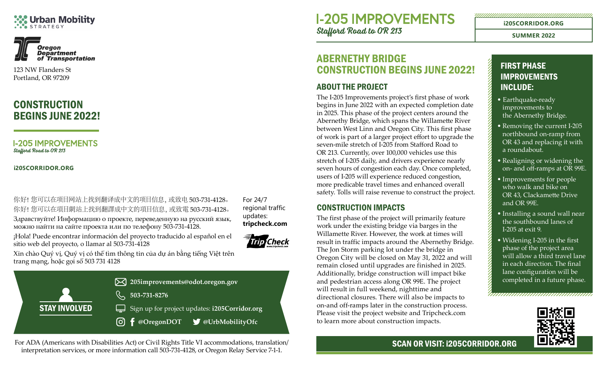# **Urban Mobility**



123 NW Flanders St Portland, OR 97209

## **CONSTRUCTION** BEGINS JUNE 2022!

**I-205 IMPROVEMENTS** Stafford Road to OR 213

**[i205CORRIDOR.ORG](http://i205corridor.org)**

你好!您可以在项目网站上找到翻译成中文的项目信息,或致电 503-731-4128。 你好!您可以在項目網站上找到翻譯成中文的項目信息,或致電 503-731-4128。 Здравствуйте! Информацию о проекте, переведенную на русский язык, можно найти на сайте проекта или по телефону 503-731-4128.

For 24/7 regional traffic updates: **[tripcheck.com](http://tripcheck.com)**

¡Hola! Puede encontrar información del proyecto traducido al español en el sitio web del proyecto, o llamar al 503-731-4128



Xin chào Quý vị, Quý vị có thể tìm thông tin của dự án bằng tiếng Việt trên trang mạng, hoặc gọi số 503 731 4128



For ADA (Americans with Disabilities Act) or Civil Rights Title VI accommodations, translation/ interpretation services, or more information call 503-731-4128, or Oregon Relay Service 7-1-1.

**I-205 IMPROVEMENTS** Stafford Road to OR 213

## ABERNETHY BRIDGE CONSTRUCTION BEGINS JUNE 2022!

#### ABOUT THE PROJECT

The I-205 Improvements project's first phase of work begins in June 2022 with an expected completion date in 2025. This phase of the project centers around the Abernethy Bridge, which spans the Willamette River between West Linn and Oregon City. This first phase of work is part of a larger project effort to upgrade the seven-mile stretch of I-205 from Stafford Road to OR 213. Currently, over 100,000 vehicles use this stretch of I-205 daily, and drivers experience nearly seven hours of congestion each day. Once completed, users of I-205 will experience reduced congestion, more predicable travel times and enhanced overall safety. Tolls will raise revenue to construct the project.

#### CONSTRUCTION IMPACTS

The first phase of the project will primarily feature work under the existing bridge via barges in the Willamette River. However, the work at times will result in traffic impacts around the Abernethy Bridge. The Jon Storm parking lot under the bridge in Oregon City will be closed on May 31, 2022 and will remain closed until upgrades are finished in 2025. Additionally, bridge construction will impact bike and pedestrian access along OR 99E. The project will result in full weekend, nighttime and directional closures. There will also be impacts to on-and off-ramps later in the construction process. Please visit the project website and [Tripcheck.com](http://Tripcheck.com)  to learn more about construction impacts.

### FIRST PHASE IMPROVEMENTS INCLUDE:

**[i205CORRIDOR.ORG](http://i205corridor.org)**

**SUMMER 2022**

- Earthquake-ready improvements to the Abernethy Bridge.
- Removing the current I-205 northbound on-ramp from OR 43 and replacing it with a roundabout.
- Realigning or widening the on- and off-ramps at OR 99E.
- Improvements for people who walk and bike on OR 43, Clackamette Drive and OR 99E.
- Installing a sound wall near the southbound lanes of I-205 at exit 9.
- Widening I-205 in the first phase of the project area will allow a third travel lane in each direction. The final lane configuration will be completed in a future phase.



#### SCAN OR VISIT: [i205CORRIDOR.ORG](http://i205corridor.org)